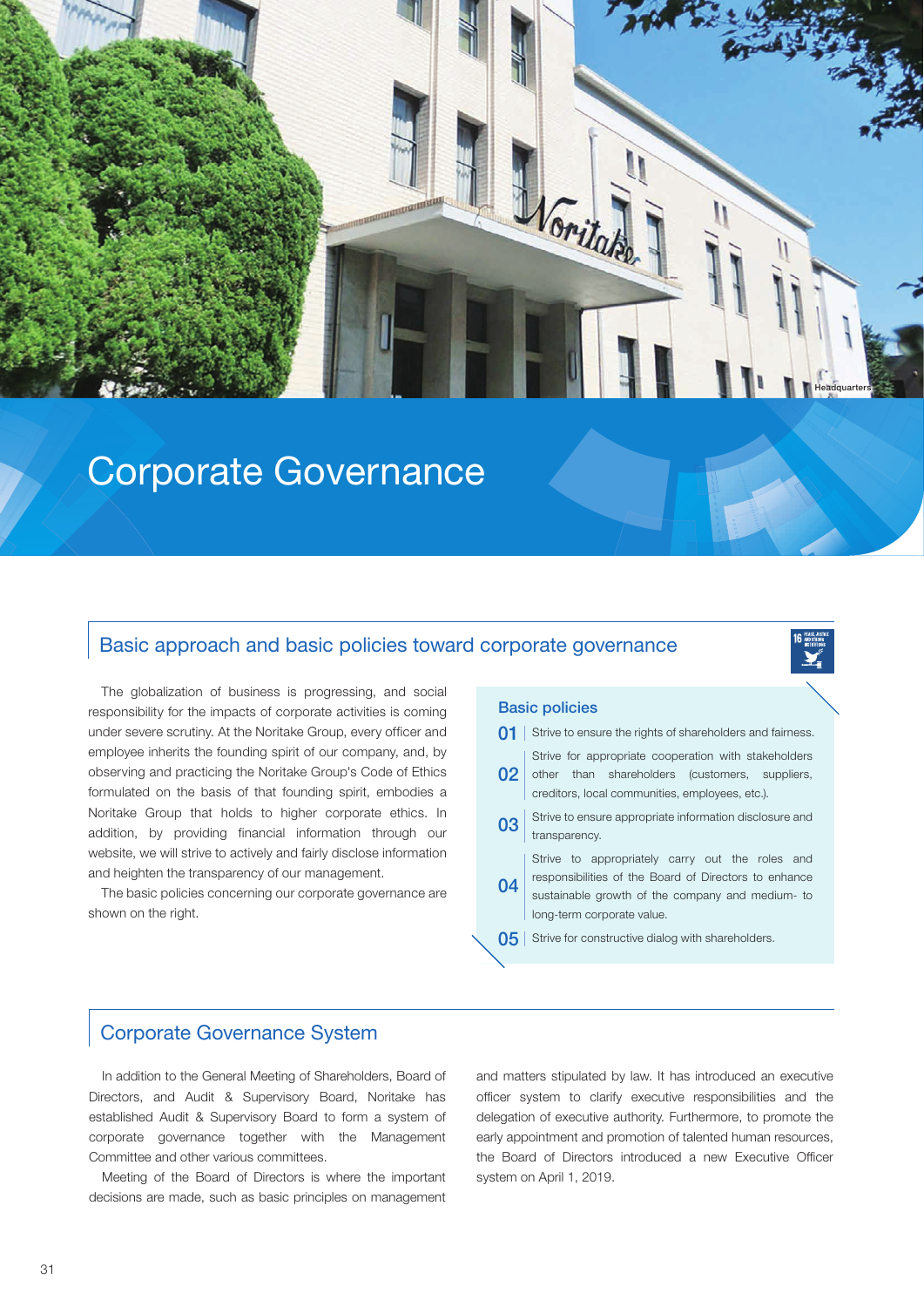

# **Corporate Governance**

### Basic approach and basic policies toward corporate governance

The globalization of business is progressing, and social responsibility for the impacts of corporate activities is coming under severe scrutiny. At the Noritake Group, every officer and employee inherits the founding spirit of our company, and, by observing and practicing the Noritake Group's Code of Ethics formulated on the basis of that founding spirit, embodies a Noritake Group that holds to higher corporate ethics. In addition, by providing financial information through our website, we will strive to actively and fairly disclose information and heighten the transparency of our management.

The basic policies concerning our corporate governance are shown on the right.

#### **Basic policies**

| 01             | Strive to ensure the rights of shareholders and fairness.                                                                                                                                  |  |  |  |  |  |  |
|----------------|--------------------------------------------------------------------------------------------------------------------------------------------------------------------------------------------|--|--|--|--|--|--|
| 02             | Strive for appropriate cooperation with stakeholders<br>other than shareholders (customers, suppliers,<br>creditors, local communities, employees, etc.).                                  |  |  |  |  |  |  |
| 03             | Strive to ensure appropriate information disclosure and<br>transparency.                                                                                                                   |  |  |  |  |  |  |
| 04             | Strive to appropriately carry out the roles and<br>responsibilities of the Board of Directors to enhance<br>sustainable growth of the company and medium- to<br>long-term corporate value. |  |  |  |  |  |  |
| 0 <sub>5</sub> | Strive for constructive dialog with shareholders.                                                                                                                                          |  |  |  |  |  |  |

### **Corporate Governance System**

In addition to the General Meeting of Shareholders, Board of Directors, and Audit & Supervisory Board, Noritake has established Audit & Supervisory Board to form a system of corporate governance together with the Management Committee and other various committees.

Meeting of the Board of Directors is where the important decisions are made, such as basic principles on management

and matters stipulated by law. It has introduced an executive officer system to clarify executive responsibilities and the delegation of executive authority. Furthermore, to promote the early appointment and promotion of talented human resources, the Board of Directors introduced a new Executive Officer system on April 1, 2019.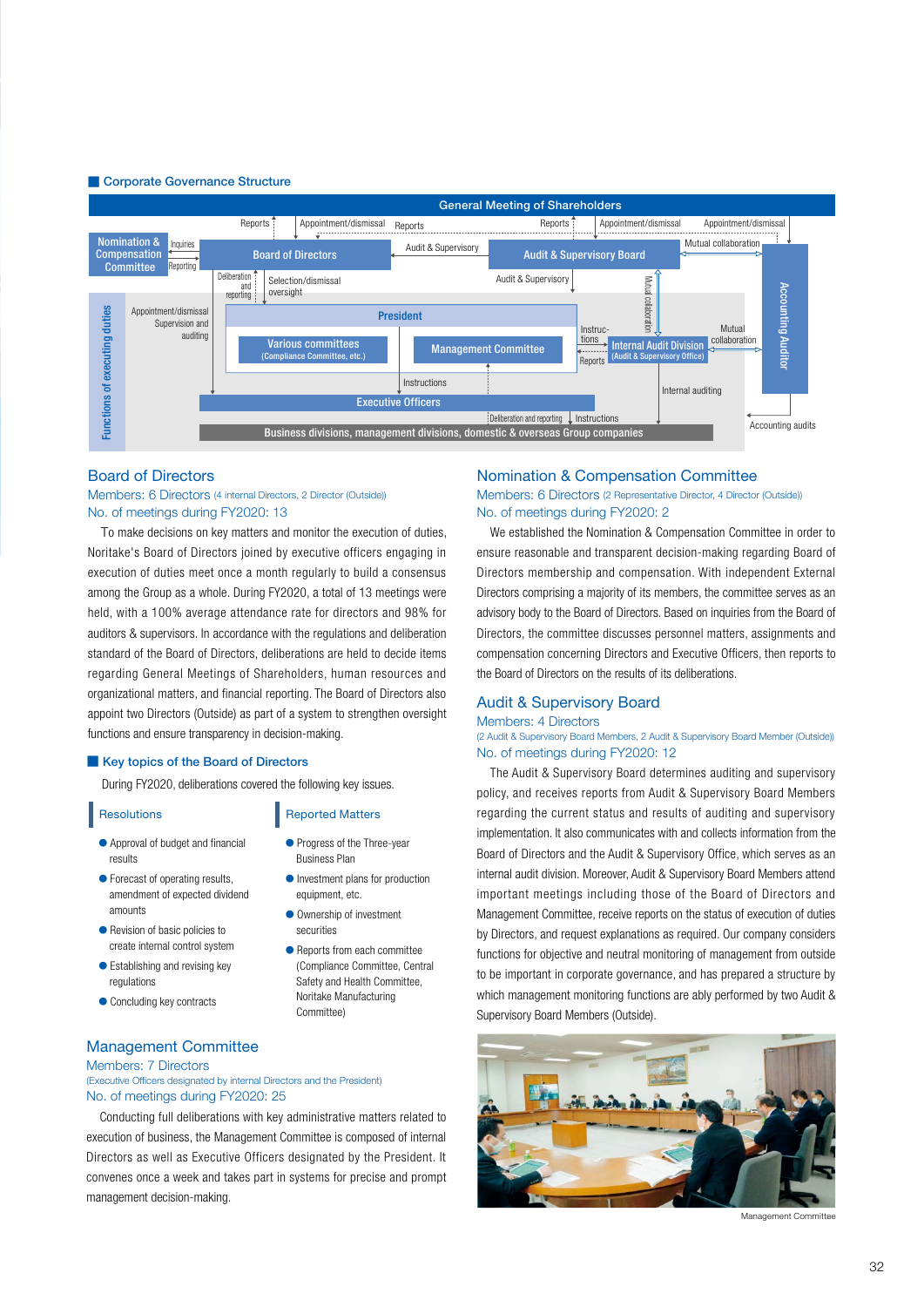#### ■ Corporate Governance Structure



#### **Board of Directors**

#### Members: 6 Directors (4 internal Directors, 2 Director (Outside)) No. of meetings during FY2020: 13

To make decisions on key matters and monitor the execution of duties. Noritake's Board of Directors joined by executive officers engaging in execution of duties meet once a month regularly to build a consensus among the Group as a whole. During FY2020, a total of 13 meetings were held, with a 100% average attendance rate for directors and 98% for auditors & supervisors. In accordance with the regulations and deliberation standard of the Board of Directors, deliberations are held to decide items regarding General Meetings of Shareholders, human resources and organizational matters, and financial reporting. The Board of Directors also appoint two Directors (Outside) as part of a system to strengthen oversight functions and ensure transparency in decision-making.

#### ■ Key topics of the Board of Directors

During FY2020, deliberations covered the following key issues.

● Progress of the Three-vear **Business Plan** 

**Reported Matters** 

equipment, etc ● Ownership of investment

securities

● Investment plans for production

● Reports from each committee (Compliance Committee, Central Safety and Health Committee Noritake Manufacturing (Committee

#### **Resolutions**

- Approval of budget and financial results
- Forecast of operating results, amendment of expected dividend amounts
- $\bullet$  Revision of basic policies to create internal control system
- Establishing and revising key regulations
- Concluding key contracts

#### **Management Committee**

Members: 7 Directors

(Executive Officers designated by internal Directors and the President) No. of meetings during FY2020: 25

Conducting full deliberations with key administrative matters related to execution of business, the Management Committee is composed of internal Directors as well as Executive Officers designated by the President. It convenes once a week and takes part in systems for precise and prompt management decision-making.

#### **Nomination & Compensation Committee**

#### Members: 6 Directors (2 Representative Director, 4 Director (Outside)) No. of meetings during FY2020: 2

We established the Nomination & Compensation Committee in order to ensure reasonable and transparent decision-making regarding Board of Directors membership and compensation. With independent External Directors comprising a majority of its members, the committee serves as an advisory body to the Board of Directors. Based on inquiries from the Board of Directors, the committee discusses personnel matters, assignments and compensation concerning Directors and Executive Officers, then reports to the Board of Directors on the results of its deliberations.

#### **Audit & Supervisory Board**

#### Members: 4 Directors

#### (2 Audit & Supervisory Board Members, 2 Audit & Supervisory Board Member (Outside)) No. of meetings during FY2020: 12

The Audit & Supervisory Board determines auditing and supervisory policy, and receives reports from Audit & Supervisory Board Members regarding the current status and results of auditing and supervisory implementation. It also communicates with and collects information from the Board of Directors and the Audit & Supervisory Office, which serves as an internal audit division. Moreover, Audit & Supervisory Board Members attend important meetings including those of the Board of Directors and Management Committee, receive reports on the status of execution of duties by Directors, and request explanations as required. Our company considers functions for objective and neutral monitoring of management from outside to be important in corporate governance, and has prepared a structure by which management monitoring functions are ably performed by two Audit & Supervisory Board Members (Outside)



Management Committee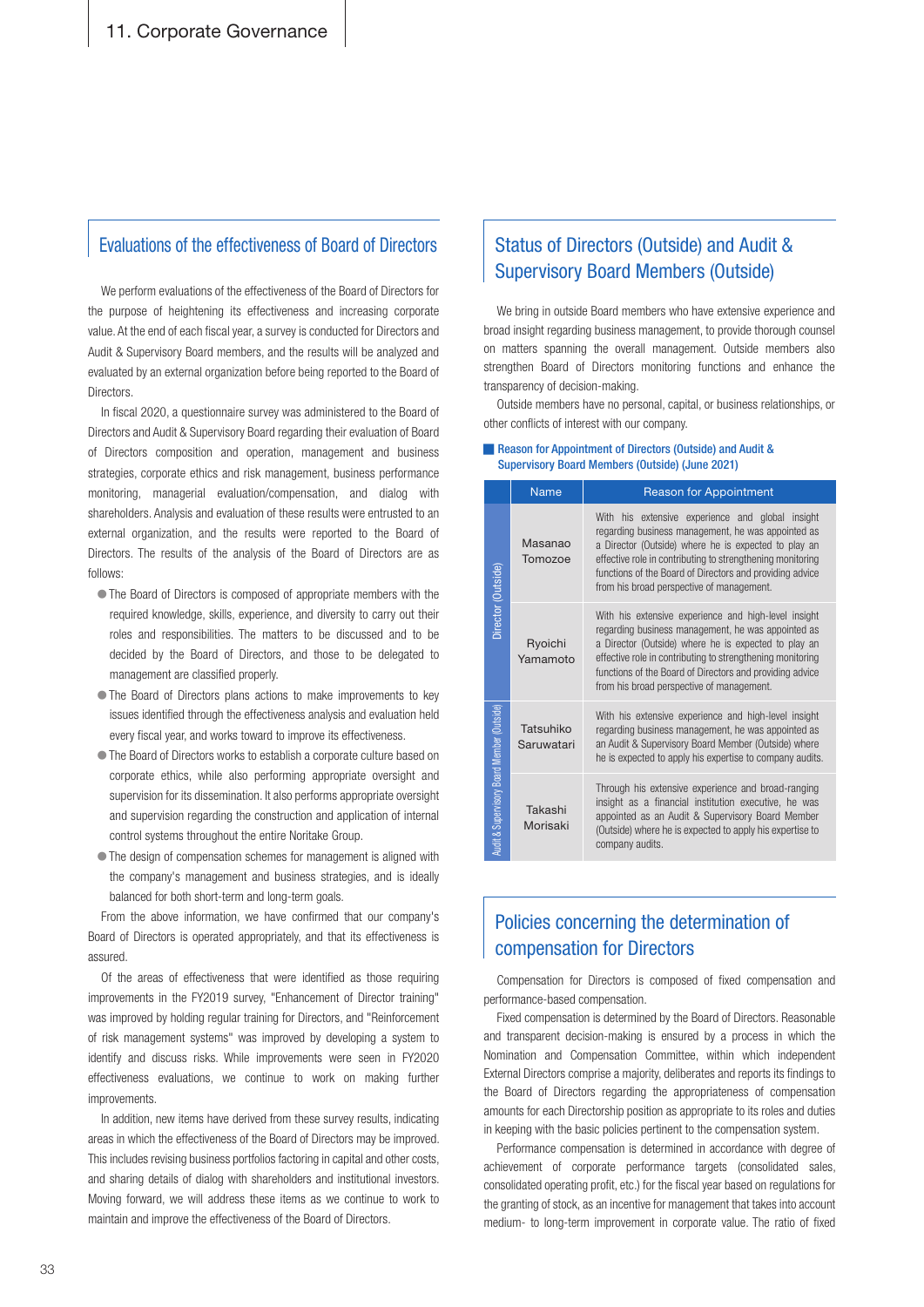### Evaluations of the effectiveness of Board of Directors

We perform evaluations of the effectiveness of the Board of Directors for the purpose of heightening its effectiveness and increasing corporate value. At the end of each fiscal year, a survey is conducted for Directors and Audit & Supervisory Board members, and the results will be analyzed and evaluated by an external organization before being reported to the Board of **Directors** 

In fiscal 2020, a questionnaire survey was administered to the Board of Directors and Audit & Supervisory Board regarding their evaluation of Board of Directors composition and operation, management and business strategies, corporate ethics and risk management, business performance monitoring, managerial evaluation/compensation, and dialog with shareholders. Analysis and evaluation of these results were entrusted to an external organization, and the results were reported to the Board of Directors. The results of the analysis of the Board of Directors are as :follows

- The Board of Directors is composed of appropriate members with the required knowledge, skills, experience, and diversity to carry out their roles and responsibilities. The matters to be discussed and to be decided by the Board of Directors, and those to be delegated to management are classified properly.
- The Board of Directors plans actions to make improvements to key issues identified through the effectiveness analysis and evaluation held every fiscal year, and works toward to improve its effectiveness.
- The Board of Directors works to establish a corporate culture based on corporate ethics, while also performing appropriate oversight and supervision for its dissemination. It also performs appropriate oversight and supervision regarding the construction and application of internal control systems throughout the entire Noritake Group.
- The design of compensation schemes for management is aligned with the company's management and business strategies, and is ideally balanced for both short-term and long-term goals.

From the above information, we have confirmed that our company's Board of Directors is operated appropriately, and that its effectiveness is .assured

Of the areas of effectiveness that were identified as those requiring improvements in the FY2019 survey, "Enhancement of Director training" was improved by holding regular training for Directors, and "Reinforcement of risk management systems" was improved by developing a system to identify and discuss risks. While improvements were seen in FY2020 effectiveness evaluations, we continue to work on making further .improvements

In addition, new items have derived from these survey results, indicating areas in which the effectiveness of the Board of Directors may be improved. This includes revising business portfolios factoring in capital and other costs, and sharing details of dialog with shareholders and institutional investors. Moving forward, we will address these items as we continue to work to maintain and improve the effectiveness of the Board of Directors.

# Status of Directors (Outside) and Audit & **Supervisory Board Members (Outside)**

We bring in outside Board members who have extensive experience and broad insight regarding business management, to provide thorough counsel on matters spanning the overall management. Outside members also strengthen Board of Directors monitoring functions and enhance the transparency of decision-making.

Outside members have no personal, capital, or business relationships, or other conflicts of interest with our company.

#### ■ Reason for Appointment of Directors (Outside) and Audit & Supervisory Board Members (Outside) (June 2021)

|                                            | <b>Name</b>             | <b>Reason for Appointment</b>                                                                                                                                                                                                                                                                                                             |  |  |
|--------------------------------------------|-------------------------|-------------------------------------------------------------------------------------------------------------------------------------------------------------------------------------------------------------------------------------------------------------------------------------------------------------------------------------------|--|--|
| Director (Outside)                         | Masanao<br>Tomozoe      | With his extensive experience and global insight<br>regarding business management, he was appointed as<br>a Director (Outside) where he is expected to play an<br>effective role in contributing to strengthening monitoring<br>functions of the Board of Directors and providing advice<br>from his broad perspective of management.     |  |  |
|                                            | Ryoichi<br>Yamamoto     | With his extensive experience and high-level insight<br>regarding business management, he was appointed as<br>a Director (Outside) where he is expected to play an<br>effective role in contributing to strengthening monitoring<br>functions of the Board of Directors and providing advice<br>from his broad perspective of management. |  |  |
| Audit & Supervisory Board Member (Outside) | Tatsuhiko<br>Saruwatari | With his extensive experience and high-level insight<br>regarding business management, he was appointed as<br>an Audit & Supervisory Board Member (Outside) where<br>he is expected to apply his expertise to company audits.                                                                                                             |  |  |
|                                            | Takashi<br>Morisaki     | Through his extensive experience and broad-ranging<br>insight as a financial institution executive, he was<br>appointed as an Audit & Supervisory Board Member<br>(Outside) where he is expected to apply his expertise to<br>company audits.                                                                                             |  |  |

# Policies concerning the determination of compensation for Directors

Compensation for Directors is composed of fixed compensation and nerformance-based compensation.

Fixed compensation is determined by the Board of Directors. Reasonable and transparent decision-making is ensured by a process in which the Nomination and Compensation Committee, within which independent External Directors comprise a majority, deliberates and reports its findings to the Board of Directors regarding the appropriateness of compensation amounts for each Directorship position as appropriate to its roles and duties in keeping with the basic policies pertinent to the compensation system.

Performance compensation is determined in accordance with degree of achievement of corporate performance targets (consolidated sales, consolidated operating profit, etc.) for the fiscal year based on regulations for the granting of stock, as an incentive for management that takes into account medium- to long-term improvement in corporate value. The ratio of fixed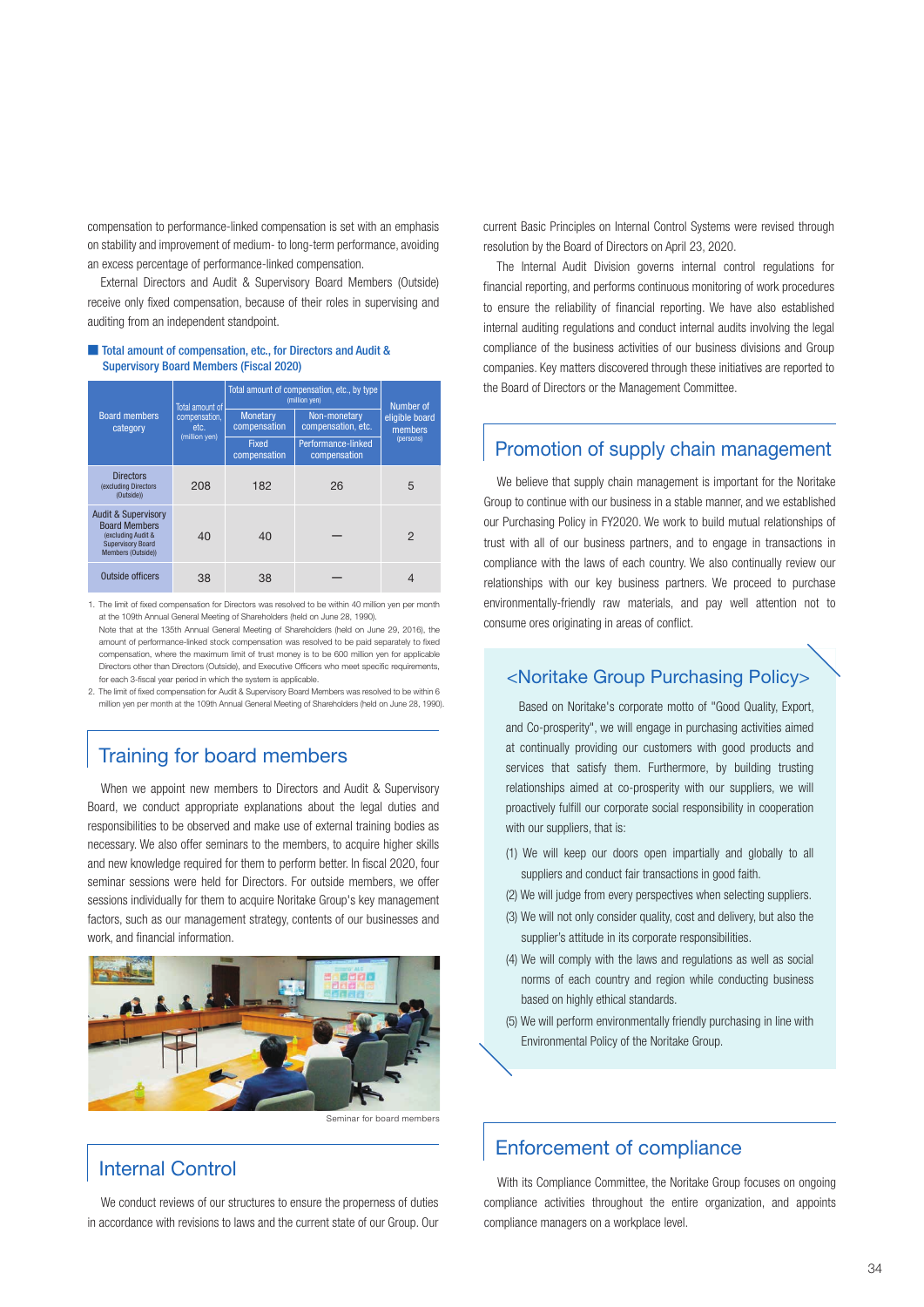compensation to performance-linked compensation is set with an emphasis on stability and improvement of medium- to long-term performance, avoiding an excess percentage of performance-linked compensation.

External Directors and Audit & Supervisory Board Members (Outside) receive only fixed compensation, because of their roles in supervising and auditing from an independent standpoint.

#### ■ Total amount of compensation, etc., for Directors and Audit & **Supervisory Board Members (Fiscal 2020)**

|                                                                                                                                | Total amount of                        | Total amount of compensation, etc., by type<br>(million yen) |                                    | Number of                 |
|--------------------------------------------------------------------------------------------------------------------------------|----------------------------------------|--------------------------------------------------------------|------------------------------------|---------------------------|
| <b>Board members</b><br>category                                                                                               | compensation,<br>etc.<br>(million yen) | Monetary<br>compensation                                     | Non-monetary<br>compensation, etc. | eligible board<br>members |
|                                                                                                                                |                                        | <b>Fixed</b><br>compensation                                 | Performance-linked<br>compensation | (persons)                 |
| <b>Directors</b><br>(excluding Directors)<br>(Outside))                                                                        | 208                                    | 182                                                          | 26                                 | 5                         |
| <b>Audit &amp; Supervisory</b><br><b>Board Members</b><br>(excluding Audit &<br><b>Supervisory Board</b><br>Members (Outside)) | 40                                     | 40                                                           |                                    | $\mathcal{P}$             |
| Outside officers                                                                                                               | 38                                     | 38                                                           |                                    |                           |

1. The limit of fixed compensation for Directors was resolved to be within 40 million yen per month at the 109th Annual General Meeting of Shareholders (held on June 28, 1990) Note that at the 135th Annual General Meeting of Shareholders (held on June 29, 2016), the amount of performance-linked stock compensation was resolved to be paid separately to fixed compensation, where the maximum limit of trust money is to be 600 million yen for applicable Directors other than Directors (Outside), and Executive Officers who meet specific requirements, for each 3-fiscal year period in which the system is applicable.

2. The limit of fixed compensation for Audit & Supervisory Board Members was resolved to be within 6 million yen per month at the 109th Annual General Meeting of Shareholders (held on June 28, 1990).

# Training for board members

When we appoint new members to Directors and Audit & Supervisory Board, we conduct appropriate explanations about the legal duties and responsibilities to be observed and make use of external training bodies as necessary. We also offer seminars to the members, to acquire higher skills and new knowledge required for them to perform better. In fiscal 2020, four seminar sessions were held for Directors. For outside members, we offer sessions individually for them to acquire Noritake Group's key management factors, such as our management strategy, contents of our businesses and work, and financial information.



# **Internal Control**

We conduct reviews of our structures to ensure the properness of duties in accordance with revisions to laws and the current state of our Group. Our

current Basic Principles on Internal Control Systems were revised through resolution by the Board of Directors on April 23, 2020.

The Internal Audit Division governs internal control regulations for financial reporting, and performs continuous monitoring of work procedures to ensure the reliability of financial reporting. We have also established internal auditing regulations and conduct internal audits involving the legal compliance of the business activities of our business divisions and Group companies. Key matters discovered through these initiatives are reported to the Board of Directors or the Management Committee.

# Promotion of supply chain management

We believe that supply chain management is important for the Noritake Group to continue with our business in a stable manner, and we established our Purchasing Policy in FY2020. We work to build mutual relationships of trust with all of our business partners, and to engage in transactions in compliance with the laws of each country. We also continually review our relationships with our key business partners. We proceed to purchase environmentally-friendly raw materials, and pay well attention not to consume ores originating in areas of conflict.

### <Noritake Group Purchasing Policy>

Based on Noritake's corporate motto of "Good Quality, Export, and Co-prosperity", we will engage in purchasing activities aimed at continually providing our customers with good products and services that satisfy them. Furthermore, by building trusting relationships aimed at co-prosperity with our suppliers, we will proactively fulfill our corporate social responsibility in cooperation with our suppliers, that is:

- $(1)$  We will keep our doors open impartially and globally to all suppliers and conduct fair transactions in good faith.
- (2) We will judge from every perspectives when selecting suppliers.
- (3) We will not only consider quality, cost and delivery, but also the supplier's attitude in its corporate responsibilities.
- $(4)$  We will comply with the laws and regulations as well as social norms of each country and region while conducting business based on highly ethical standards.
- (5) We will perform environmentally friendly purchasing in line with Environmental Policy of the Noritake Group.

# Enforcement of compliance

With its Compliance Committee, the Noritake Group focuses on ongoing compliance activities throughout the entire organization, and appoints compliance managers on a workplace level.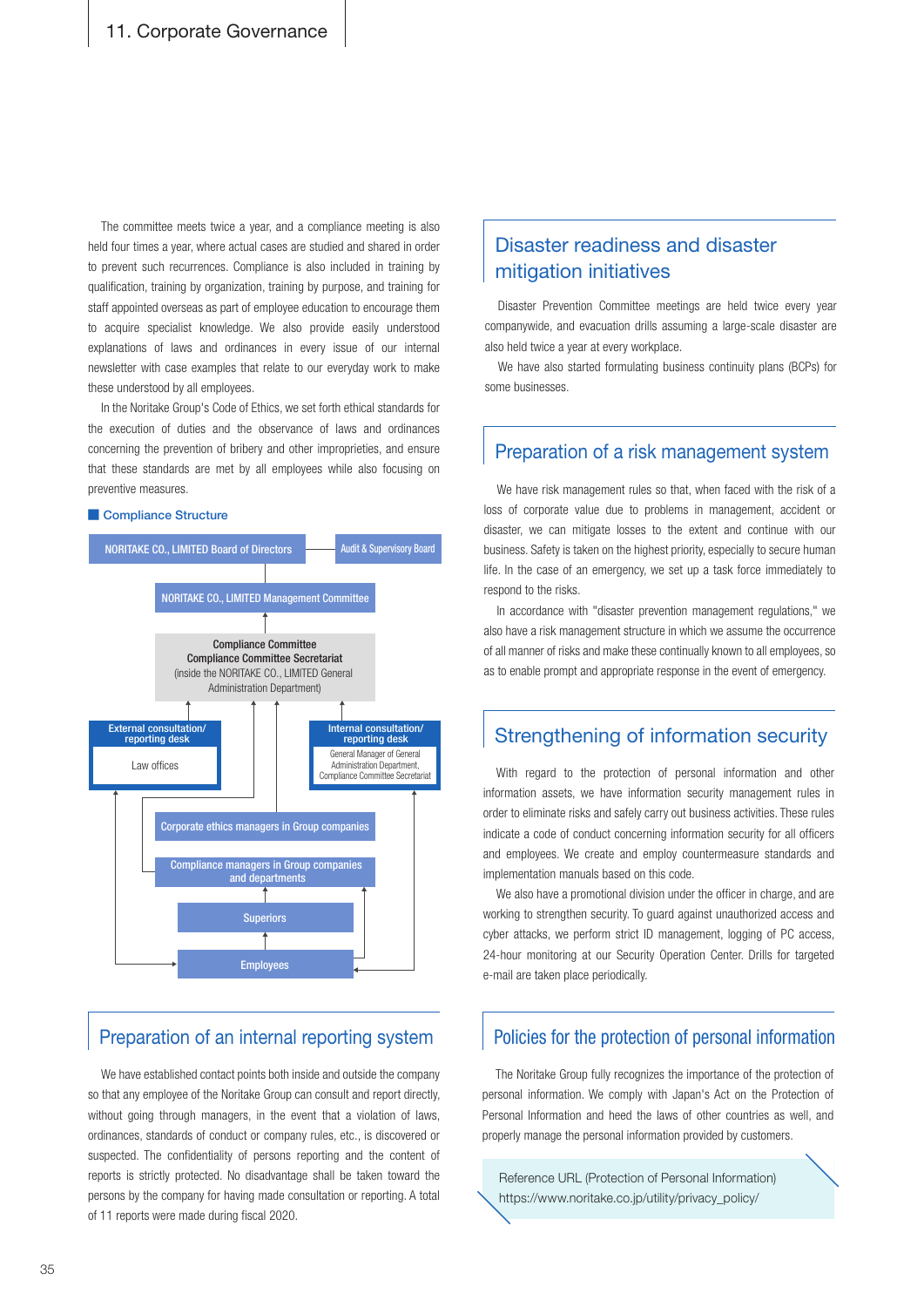The committee meets twice a year, and a compliance meeting is also held four times a year, where actual cases are studied and shared in order to prevent such recurrences. Compliance is also included in training by qualification, training by organization, training by purpose, and training for staff appointed overseas as part of employee education to encourage them to acquire specialist knowledge. We also provide easily understood explanations of laws and ordinances in every issue of our internal newsletter with case examples that relate to our everyday work to make these understood by all employees.

In the Noritake Group's Code of Ethics, we set forth ethical standards for the execution of duties and the observance of laws and ordinances concerning the prevention of bribery and other improprieties, and ensure that these standards are met by all employees while also focusing on preventive measures. The with face of a state with the risk of a state when faced with the risk of a

#### ■ Compliance Structure



### Preparation of an internal reporting system

We have established contact points both inside and outside the company so that any employee of the Noritake Group can consult and report directly, without going through managers, in the event that a violation of laws, ordinances, standards of conduct or company rules, etc., is discovered or suspected. The confidentiality of persons reporting and the content of reports is strictly protected. No disadvantage shall be taken toward the persons by the company for having made consultation or reporting. A total of 11 reports were made during fiscal 2020.

### Disaster readiness and disaster mitigation initiatives

Disaster Prevention Committee meetings are held twice every year companywide, and evacuation drills assuming a large-scale disaster are also held twice a year at every workplace.

We have also started formulating business continuity plans (BCPs) for some businesses

### Preparation of a risk management system

loss of corporate value due to problems in management, accident or disaster, we can mitigate losses to the extent and continue with our business. Safety is taken on the highest priority, especially to secure human life. In the case of an emergency, we set up a task force immediately to respond to the risks.

In accordance with "disaster prevention management regulations," we also have a risk management structure in which we assume the occurrence of all manner of risks and make these continually known to all employees, so as to enable prompt and appropriate response in the event of emergency.

### Strengthening of information security

With regard to the protection of personal information and other information assets, we have information security management rules in order to eliminate risks and safely carry out business activities. These rules indicate a code of conduct concerning information security for all officers and employees. We create and employ countermeasure standards and implementation manuals based on this code.

We also have a promotional division under the officer in charge, and are working to strengthen security. To guard against unauthorized access and cyber attacks, we perform strict ID management, logging of PC access, 24-hour monitoring at our Security Operation Center. Drills for targeted e-mail are taken place periodically.

### Policies for the protection of personal information

The Noritake Group fully recognizes the importance of the protection of personal information. We comply with Japan's Act on the Protection of Personal Information and heed the laws of other countries as well, and properly manage the personal information provided by customers.

Reference URL (Protection of Personal Information) https://www.noritake.co.jp/utility/privacy\_policy/